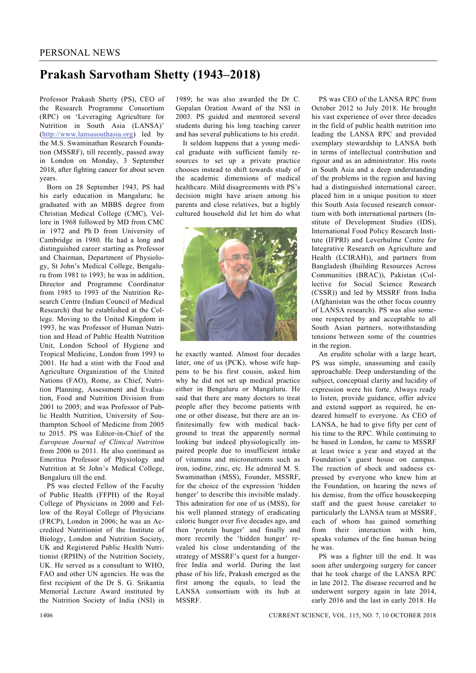## **Prakash Sarvotham Shetty (1943–2018)**

Professor Prakash Shetty (PS), CEO of the Research Programme Consortium (RPC) on 'Leveraging Agriculture for Nutrition in South Asia (LANSA)' (http://www.lansasouthasia.org) led by the M.S. Swaminathan Research Foundation (MSSRF), till recently, passed away in London on Monday, 3 September 2018, after fighting cancer for about seven years.

 Born on 28 September 1943, PS had his early education in Mangaluru; he graduated with an MBBS degree from Christian Medical College (CMC), Vellore in 1968 followed by MD from CMC in 1972 and Ph D from University of Cambridge in 1980. He had a long and distinguished career starting as Professor and Chairman, Department of Physiology, St John's Medical College, Bengaluru from 1981 to 1993; he was in addition, Director and Programme Coordinator from 1985 to 1993 of the Nutrition Research Centre (Indian Council of Medical Research) that he established at the College. Moving to the United Kingdom in 1993, he was Professor of Human Nutrition and Head of Public Health Nutrition Unit, London School of Hygiene and Tropical Medicine, London from 1993 to 2001. He had a stint with the Food and Agriculture Organization of the United Nations (FAO), Rome, as Chief, Nutrition Planning, Assessment and Evaluation, Food and Nutrition Division from 2001 to 2005; and was Professor of Public Health Nutrition, University of Southampton School of Medicine from 2005 to 2015. PS was Editor-in-Chief of the *European Journal of Clinical Nutrition* from 2006 to 2011. He also continued as Emeritus Professor of Physiology and Nutrition at St John's Medical College, Bengaluru till the end.

 PS was elected Fellow of the Faculty of Public Health (FFPH) of the Royal College of Physicians in 2000 and Fellow of the Royal College of Physicians (FRCP), London in 2006; he was an Accredited Nutritionist of the Institute of Biology, London and Nutrition Society, UK and Registered Public Health Nutritionist (RPHN) of the Nutrition Society, UK. He served as a consultant to WHO, FAO and other UN agencies. He was the first recipient of the Dr S. G. Srikantia Memorial Lecture Award instituted by the Nutrition Society of India (NSI) in

1989; he was also awarded the Dr C. Gopalan Oration Award of the NSI in 2003. PS guided and mentored several students during his long teaching career and has several publications to his credit.

 It seldom happens that a young medical graduate with sufficient family resources to set up a private practice chooses instead to shift towards study of the academic dimensions of medical healthcare. Mild disagreements with PS's decision might have arisen among his parents and close relatives, but a highly cultured household did let him do what



he exactly wanted. Almost four decades later, one of us (PCK), whose wife happens to be his first cousin, asked him why he did not set up medical practice either in Bengaluru or Mangaluru. He said that there are many doctors to treat people after they become patients with one or other disease, but there are an infinitesimally few with medical background to treat the apparently normal looking but indeed physiologically impaired people due to insufficient intake of vitamins and micronutrients such as iron, iodine, zinc, etc. He admired M. S. Swaminathan (MSS), Founder, MSSRF, for the choice of the expression 'hidden hunger' to describe this invisible malady. This admiration for one of us (MSS), for his well planned strategy of eradicating caloric hunger over five decades ago, and then 'protein hunger' and finally and more recently the 'hidden hunger' revealed his close understanding of the strategy of MSSRF's quest for a hungerfree India and world. During the last phase of his life, Prakash emerged as the first among the equals, to lead the LANSA consortium with its hub at **MSSRF** 

 PS was CEO of the LANSA RPC from October 2012 to July 2018. He brought his vast experience of over three decades in the field of public health nutrition into leading the LANSA RPC and provided exemplary stewardship to LANSA both in terms of intellectual contribution and rigour and as an administrator. His roots in South Asia and a deep understanding of the problems in the region and having had a distinguished international career, placed him in a unique position to steer this South Asia focused research consortium with both international partners (Institute of Development Studies (IDS), International Food Policy Research Institute (IFPRI) and Leverhulme Centre for Integrative Research on Agriculture and Health (LCIRAH)), and partners from Bangladesh (Building Resources Across Communities (BRAC)), Pakistan (Collective for Social Science Research (CSSR)) and led by MSSRF from India (Afghanistan was the other focus country of LANSA research). PS was also someone respected by and acceptable to all South Asian partners, notwithstanding tensions between some of the countries in the region.

 An erudite scholar with a large heart, PS was simple, unassuming and easily approachable. Deep understanding of the subject, conceptual clarity and lucidity of expression were his forte. Always ready to listen, provide guidance, offer advice and extend support as required, he endeared himself to everyone. As CEO of LANSA, he had to give fifty per cent of his time to the RPC. While continuing to be based in London, he came to MSSRF at least twice a year and stayed at the Foundation's guest house on campus. The reaction of shock and sadness expressed by everyone who knew him at the Foundation, on hearing the news of his demise, from the office housekeeping staff and the guest house caretaker to particularly the LANSA team at MSSRF, each of whom has gained something from their interaction with him, speaks volumes of the fine human being he was.

 PS was a fighter till the end. It was soon after undergoing surgery for cancer that he took charge of the LANSA RPC in late 2012. The disease recurred and he underwent surgery again in late 2014, early 2016 and the last in early 2018. He